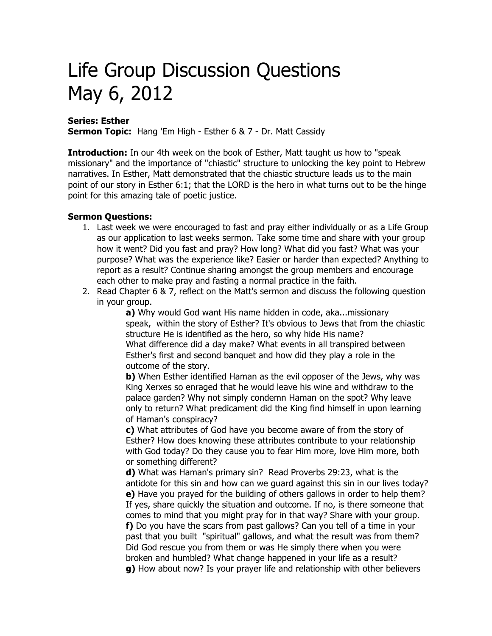## Life Group Discussion Questions May 6, 2012

## **Series: Esther**

**Sermon Topic:** Hang 'Em High - Esther 6 & 7 - Dr. Matt Cassidy

**Introduction:** In our 4th week on the book of Esther, Matt taught us how to "speak missionary" and the importance of "chiastic" structure to unlocking the key point to Hebrew narratives. In Esther, Matt demonstrated that the chiastic structure leads us to the main point of our story in Esther 6:1; that the LORD is the hero in what turns out to be the hinge point for this amazing tale of poetic justice.

## **Sermon Questions:**

- 1. Last week we were encouraged to fast and pray either individually or as a Life Group as our application to last weeks sermon. Take some time and share with your group how it went? Did you fast and pray? How long? What did you fast? What was your purpose? What was the experience like? Easier or harder than expected? Anything to report as a result? Continue sharing amongst the group members and encourage each other to make pray and fasting a normal practice in the faith.
- 2. Read Chapter 6 & 7, reflect on the Matt's sermon and discuss the following question in your group.

**a)** Why would God want His name hidden in code, aka...missionary speak, within the story of Esther? It's obvious to Jews that from the chiastic structure He is identified as the hero, so why hide His name? What difference did a day make? What events in all transpired between Esther's first and second banquet and how did they play a role in the outcome of the story.

**b**) When Esther identified Haman as the evil opposer of the Jews, why was King Xerxes so enraged that he would leave his wine and withdraw to the palace garden? Why not simply condemn Haman on the spot? Why leave only to return? What predicament did the King find himself in upon learning of Haman's conspiracy?

**c)** What attributes of God have you become aware of from the story of Esther? How does knowing these attributes contribute to your relationship with God today? Do they cause you to fear Him more, love Him more, both or something different?

**d)** What was Haman's primary sin? Read Proverbs 29:23, what is the antidote for this sin and how can we guard against this sin in our lives today? **e)** Have you prayed for the building of others gallows in order to help them? If yes, share quickly the situation and outcome. If no, is there someone that comes to mind that you might pray for in that way? Share with your group. **f)** Do you have the scars from past gallows? Can you tell of a time in your past that you built "spiritual" gallows, and what the result was from them? Did God rescue you from them or was He simply there when you were broken and humbled? What change happened in your life as a result? **g)** How about now? Is your prayer life and relationship with other believers